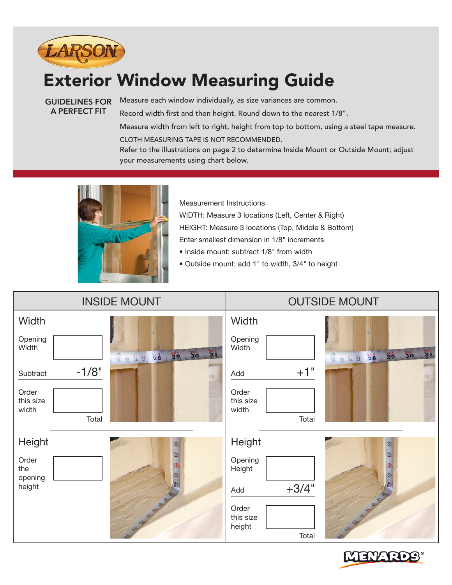

## Exterior Window Measuring Guide

**GUIDELINES FOR A PERFECT FIT**

Measure each window individually, as size variances are common. Record width first and then height. Round down to the nearest 1/8". Measure width from left to right, height from top to bottom, using a steel tape measure. CLOTH MEASURING TAPE IS NOT RECOMMENDED.

Refer to the illustrations on page 2 to determine Inside Mount or Outside Mount; adjust your measurements using chart below.



Measurement Instructions

WIDTH: Measure 3 locations (Left, Center & Right)

HEIGHT: Measure 3 locations (Top, Middle & Bottom)

- Enter smallest dimension in 1/8" increments
- Inside mount: subtract 1/8" from width
- Outside mount: add 1" to width, 3/4" to height